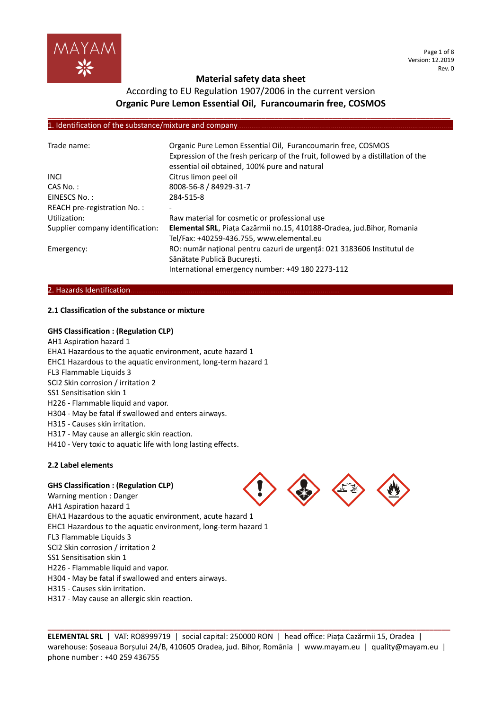

#### Page 1 of 8 Version: 12.2019 Rev. 0

## **Material safety data sheet**

## According to EU Regulation 1907/2006 in the current version **Organic Pure Lemon Essential Oil, Furancoumarin free, COSMOS**

**\_\_\_\_\_\_\_\_\_\_\_\_\_\_\_\_\_\_\_\_\_\_\_\_\_\_\_\_\_\_\_\_\_\_\_\_\_\_\_\_\_\_\_\_\_\_\_\_\_\_\_\_\_\_\_\_\_\_\_\_\_\_\_\_\_\_\_\_\_\_\_\_\_\_\_\_\_\_\_\_\_\_\_\_\_\_\_\_\_\_\_\_\_\_\_\_**

### 1. Identification of the substance/mixture and company

| Trade name:                      | Organic Pure Lemon Essential Oil, Furancoumarin free, COSMOS<br>Expression of the fresh pericarp of the fruit, followed by a distillation of the<br>essential oil obtained, 100% pure and natural |
|----------------------------------|---------------------------------------------------------------------------------------------------------------------------------------------------------------------------------------------------|
| <b>INCI</b>                      | Citrus limon peel oil                                                                                                                                                                             |
| $CAS No.$ :                      | 8008-56-8 / 84929-31-7                                                                                                                                                                            |
| EINESCS No.:                     | 284-515-8                                                                                                                                                                                         |
| REACH pre-registration No.:      |                                                                                                                                                                                                   |
| Utilization:                     | Raw material for cosmetic or professional use                                                                                                                                                     |
| Supplier company identification: | Elemental SRL, Piața Cazărmii no.15, 410188-Oradea, jud.Bihor, Romania                                                                                                                            |
|                                  | Tel/Fax: +40259-436.755, www.elemental.eu                                                                                                                                                         |
| Emergency:                       | RO: număr național pentru cazuri de urgență: 021 3183606 Institutul de                                                                                                                            |
|                                  | Sănătate Publică București.                                                                                                                                                                       |
|                                  | International emergency number: +49 180 2273-112                                                                                                                                                  |

#### 2. Hazards Identification.

### **2.1 Classification of the substance or mixture**

### **GHS Classification : (Regulation CLP)**

AH1 Aspiration hazard 1 EHA1 Hazardous to the aquatic environment, acute hazard 1 EHC1 Hazardous to the aquatic environment, long-term hazard 1 FL3 Flammable Liquids 3 SCI2 Skin corrosion / irritation 2 SS1 Sensitisation skin 1 H226 - Flammable liquid and vapor. H304 - May be fatal if swallowed and enters airways. H315 - Causes skin irritation. H317 - May cause an allergic skin reaction. H410 - Very toxic to aquatic life with long lasting effects.

### **2.2 Label elements**

### **GHS Classification : (Regulation CLP)**

Warning mention : Danger AH1 Aspiration hazard 1 EHA1 Hazardous to the aquatic environment, acute hazard 1 EHC1 Hazardous to the aquatic environment, long-term hazard 1 FL3 Flammable Liquids 3 SCI2 Skin corrosion / irritation 2 SS1 Sensitisation skin 1 H226 - Flammable liquid and vapor. H304 - May be fatal if swallowed and enters airways. H315 - Causes skin irritation.

H317 - May cause an allergic skin reaction.



**ELEMENTAL SRL** | VAT: RO8999719 | social capital: 250000 RON | head office: Piața Cazărmii 15, Oradea | warehouse: Șoseaua Borșului 24/B, 410605 Oradea, jud. Bihor, România | www.mayam.eu | quality@mayam.eu | phone number : +40 259 436755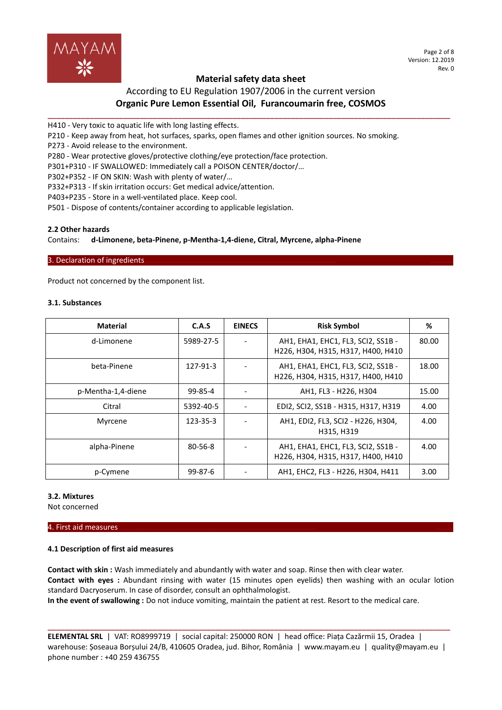

Page 2 of 8 Version: 12.2019 Rev. 0

# According to EU Regulation 1907/2006 in the current version **Organic Pure Lemon Essential Oil, Furancoumarin free, COSMOS**

**\_\_\_\_\_\_\_\_\_\_\_\_\_\_\_\_\_\_\_\_\_\_\_\_\_\_\_\_\_\_\_\_\_\_\_\_\_\_\_\_\_\_\_\_\_\_\_\_\_\_\_\_\_\_\_\_\_\_\_\_\_\_\_\_\_\_\_\_\_\_\_\_\_\_\_\_\_\_\_\_\_\_\_\_\_\_\_\_\_\_\_\_\_\_\_\_**

H410 - Very toxic to aquatic life with long lasting effects.

P210 - Keep away from heat, hot surfaces, sparks, open flames and other ignition sources. No smoking.

P273 - Avoid release to the environment.

P280 - Wear protective gloves/protective clothing/eye protection/face protection.

P301+P310 - IF SWALLOWED: Immediately call a POISON CENTER/doctor/…

P302+P352 - IF ON SKIN: Wash with plenty of water/…

P332+P313 - If skin irritation occurs: Get medical advice/attention.

P403+P235 - Store in a well-ventilated place. Keep cool.

P501 - Dispose of contents/container according to applicable legislation.

#### **2.2 Other hazards**

Contains: **d-Limonene, beta-Pinene, p-Mentha-1,4-diene, Citral, Myrcene, alpha-Pinene**

#### 3. Declaration of ingredients.

Product not concerned by the component list.

#### **3.1. Substances**

| <b>Material</b>    | C.A.S          | <b>EINECS</b> | <b>Risk Symbol</b>                                                       | %     |
|--------------------|----------------|---------------|--------------------------------------------------------------------------|-------|
| d-Limonene         | 5989-27-5      |               | AH1, EHA1, EHC1, FL3, SCI2, SS1B -<br>H226, H304, H315, H317, H400, H410 | 80.00 |
| beta-Pinene        | 127-91-3       |               | AH1, EHA1, EHC1, FL3, SCI2, SS1B -<br>H226, H304, H315, H317, H400, H410 | 18.00 |
| p-Mentha-1,4-diene | 99-85-4        |               | AH1, FL3 - H226, H304                                                    | 15.00 |
| Citral             | 5392-40-5      |               | EDI2, SCI2, SS1B - H315, H317, H319                                      | 4.00  |
| Myrcene            | $123 - 35 - 3$ |               | AH1, EDI2, FL3, SCI2 - H226, H304,<br>H315, H319                         | 4.00  |
| alpha-Pinene       | $80 - 56 - 8$  |               | AH1, EHA1, EHC1, FL3, SCI2, SS1B -<br>H226, H304, H315, H317, H400, H410 | 4.00  |
| p-Cymene           | $99 - 87 - 6$  |               | AH1, EHC2, FL3 - H226, H304, H411                                        | 3.00  |

### **3.2. Mixtures**

Not concerned

#### 4. First aid measures………………………………………………………………………………………… ………

### **4.1 Description of first aid measures**

**Contact with skin :** Wash immediately and abundantly with water and soap. Rinse then with clear water. **Contact with eyes :** Abundant rinsing with water (15 minutes open eyelids) then washing with an ocular lotion standard Dacryoserum. In case of disorder, consult an ophthalmologist. **In the event of swallowing :** Do not induce vomiting, maintain the patient at rest. Resort to the medical care.

**ELEMENTAL SRL** | VAT: RO8999719 | social capital: 250000 RON | head office: Piața Cazărmii 15, Oradea | warehouse: Șoseaua Borșului 24/B, 410605 Oradea, jud. Bihor, România | www.mayam.eu | quality@mayam.eu | phone number : +40 259 436755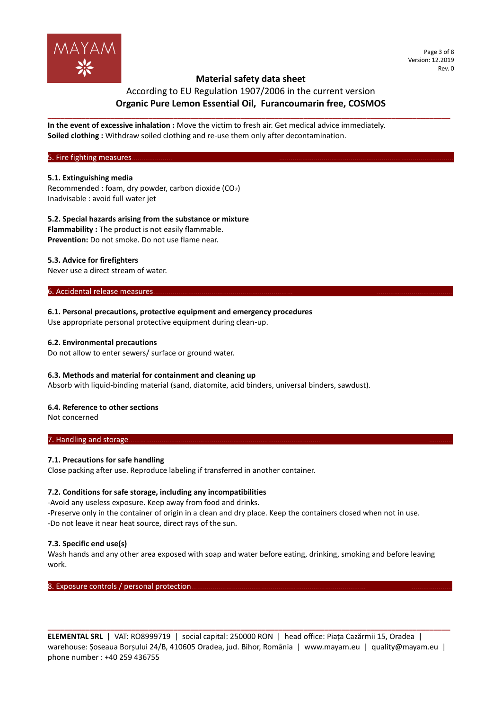

### According to EU Regulation 1907/2006 in the current version **Organic Pure Lemon Essential Oil, Furancoumarin free, COSMOS**

**\_\_\_\_\_\_\_\_\_\_\_\_\_\_\_\_\_\_\_\_\_\_\_\_\_\_\_\_\_\_\_\_\_\_\_\_\_\_\_\_\_\_\_\_\_\_\_\_\_\_\_\_\_\_\_\_\_\_\_\_\_\_\_\_\_\_\_\_\_\_\_\_\_\_\_\_\_\_\_\_\_\_\_\_\_\_\_\_\_\_\_\_\_\_\_\_**

**In the event of excessive inhalation :** Move the victim to fresh air. Get medical advice immediately. **Soiled clothing :** Withdraw soiled clothing and re-use them only after decontamination.

5. Fire fighting measures.

### **5.1. Extinguishing media**

Recommended : foam, dry powder, carbon dioxide  $(CO<sub>2</sub>)$ Inadvisable : avoid full water jet

**5.2. Special hazards arising from the substance or mixture**

**Flammability :** The product is not easily flammable. **Prevention:** Do not smoke. Do not use flame near.

### **5.3. Advice for firefighters**

Never use a direct stream of water.

6. Accidental release measures

#### **6.1. Personal precautions, protective equipment and emergency procedures**

Use appropriate personal protective equipment during clean-up.

#### **6.2. Environmental precautions**

Do not allow to enter sewers/ surface or ground water.

### **6.3. Methods and material for containment and cleaning up**

Absorb with liquid-binding material (sand, diatomite, acid binders, universal binders, sawdust).

### **6.4. Reference to other sections**

Not concerned

### 7. Handling and storage

### **7.1. Precautions for safe handling**

Close packing after use. Reproduce labeling if transferred in another container.

### **7.2. Conditions for safe storage, including any incompatibilities**

-Avoid any useless exposure. Keep away from food and drinks. -Preserve only in the container of origin in a clean and dry place. Keep the containers closed when not in use. -Do not leave it near heat source, direct rays of the sun.

### **7.3. Specific end use(s)**

Wash hands and any other area exposed with soap and water before eating, drinking, smoking and before leaving work.

8. Exposure controls / personal protection.

**ELEMENTAL SRL** | VAT: RO8999719 | social capital: 250000 RON | head office: Piața Cazărmii 15, Oradea | warehouse: Șoseaua Borșului 24/B, 410605 Oradea, jud. Bihor, România | www.mayam.eu | quality@mayam.eu | phone number : +40 259 436755

**\_\_\_\_\_\_\_\_\_\_\_\_\_\_\_\_\_\_\_\_\_\_\_\_\_\_\_\_\_\_\_\_\_\_\_\_\_\_\_\_\_\_\_\_\_\_\_\_\_\_\_\_\_\_\_\_\_\_\_\_\_\_\_\_\_\_\_\_\_\_\_\_\_\_\_\_\_\_\_\_\_\_\_\_\_\_\_\_\_\_\_\_\_\_\_\_**

Page 3 of 8 Version: 12.2019 Rev. 0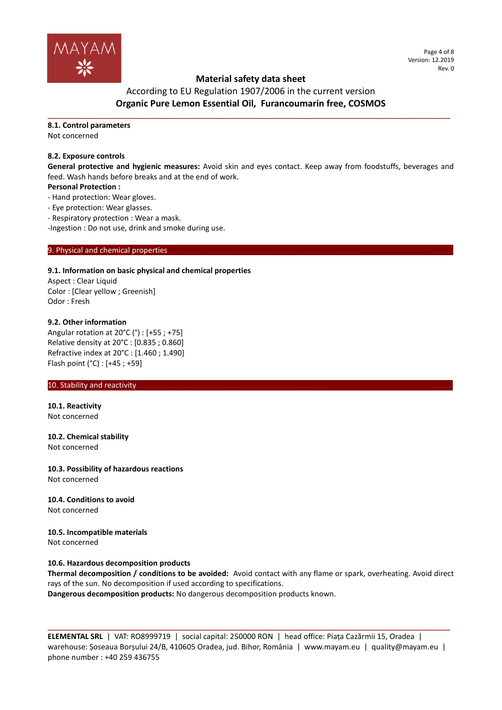

Page 4 of 8 Version: 12.2019 Rev. 0

## **Material safety data sheet**

According to EU Regulation 1907/2006 in the current version **Organic Pure Lemon Essential Oil, Furancoumarin free, COSMOS**

**\_\_\_\_\_\_\_\_\_\_\_\_\_\_\_\_\_\_\_\_\_\_\_\_\_\_\_\_\_\_\_\_\_\_\_\_\_\_\_\_\_\_\_\_\_\_\_\_\_\_\_\_\_\_\_\_\_\_\_\_\_\_\_\_\_\_\_\_\_\_\_\_\_\_\_\_\_\_\_\_\_\_\_\_\_\_\_\_\_\_\_\_\_\_\_\_**

### **8.1. Control parameters**

Not concerned

### **8.2. Exposure controls**

**General protective and hygienic measures:** Avoid skin and eyes contact. Keep away from foodstuffs, beverages and feed. Wash hands before breaks and at the end of work.

### **Personal Protection :**

- Hand protection: Wear gloves.

- Eye protection: Wear glasses.
- Respiratory protection : Wear a mask.

-Ingestion : Do not use, drink and smoke during use.

### 9. Physical and chemical properties

### **9.1. Information on basic physical and chemical properties**

Aspect : Clear Liquid Color : [Clear yellow ; Greenish] Odor : Fresh

### **9.2. Other information**

Angular rotation at 20°C (°) : [+55 ; +75] Relative density at 20°C : [0.835 ; 0.860] Refractive index at 20°C : [1.460 ; 1.490] Flash point (°C) : [+45 ; +59]

### 10. Stability and reactivity.

**10.1. Reactivity** Not concerned

## **10.2. Chemical stability**

Not concerned

#### **10.3. Possibility of hazardous reactions** Not concerned

**10.4. Conditions to avoid** Not concerned

#### **10.5. Incompatible materials** Not concerned

### **10.6. Hazardous decomposition products**

**Thermal decomposition / conditions to be avoided:** Avoid contact with any flame or spark, overheating. Avoid direct rays of the sun. No decomposition if used according to specifications. **Dangerous decomposition products:** No dangerous decomposition products known.

**ELEMENTAL SRL** | VAT: RO8999719 | social capital: 250000 RON | head office: Piața Cazărmii 15, Oradea | warehouse: Șoseaua Borșului 24/B, 410605 Oradea, jud. Bihor, România | www.mayam.eu | quality@mayam.eu | phone number : +40 259 436755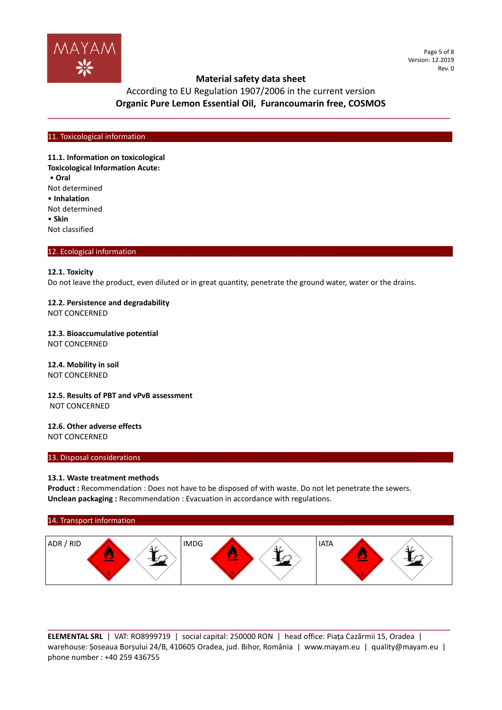

Page 5 of 8 Version: 12.2019 Rev. 0

# According to EU Regulation 1907/2006 in the current version **Organic Pure Lemon Essential Oil, Furancoumarin free, COSMOS**

**\_\_\_\_\_\_\_\_\_\_\_\_\_\_\_\_\_\_\_\_\_\_\_\_\_\_\_\_\_\_\_\_\_\_\_\_\_\_\_\_\_\_\_\_\_\_\_\_\_\_\_\_\_\_\_\_\_\_\_\_\_\_\_\_\_\_\_\_\_\_\_\_\_\_\_\_\_\_\_\_\_\_\_\_\_\_\_\_\_\_\_\_\_\_\_\_**

#### 11. Toxicological information

**11.1. Information on toxicological Toxicological Information Acute:** • **Oral** Not determined • **Inhalation** Not determined • **Skin** Not classified

#### 12. Ecological information

### **12.1. Toxicity**

Do not leave the product, even diluted or in great quantity, penetrate the ground water, water or the drains.

### **12.2. Persistence and degradability**

NOT CONCERNED

# **12.3. Bioaccumulative potential**

NOT CONCERNED

#### **12.4. Mobility in soil** NOT CONCERNED

### **12.5. Results of PBT and vPvB assessment** NOT CONCERNED

# **12.6. Other adverse effects**

NOT CONCERNED

### 13. Disposal considerations

### **13.1. Waste treatment methods**

Product : Recommendation : Does not have to be disposed of with waste. Do not let penetrate the sewers. **Unclean packaging :** Recommendation : Evacuation in accordance with regulations.

# 14. Transport information. ADR / RID IMDG IATA

**ELEMENTAL SRL** | VAT: RO8999719 | social capital: 250000 RON | head office: Piața Cazărmii 15, Oradea | warehouse: Șoseaua Borșului 24/B, 410605 Oradea, jud. Bihor, România | www.mayam.eu | quality@mayam.eu | phone number : +40 259 436755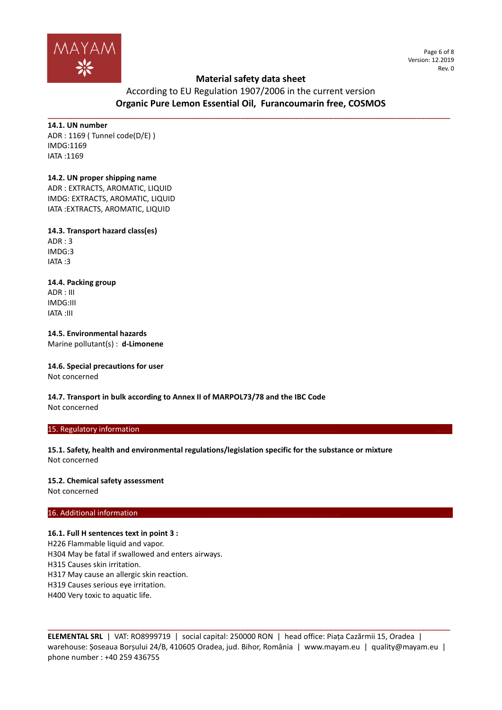

Page 6 of 8 Version: 12.2019 Rev. 0

# According to EU Regulation 1907/2006 in the current version **Organic Pure Lemon Essential Oil, Furancoumarin free, COSMOS**

**\_\_\_\_\_\_\_\_\_\_\_\_\_\_\_\_\_\_\_\_\_\_\_\_\_\_\_\_\_\_\_\_\_\_\_\_\_\_\_\_\_\_\_\_\_\_\_\_\_\_\_\_\_\_\_\_\_\_\_\_\_\_\_\_\_\_\_\_\_\_\_\_\_\_\_\_\_\_\_\_\_\_\_\_\_\_\_\_\_\_\_\_\_\_\_\_**

**14.1. UN number** ADR : 1169 ( Tunnel code(D/E) ) IMDG:1169 IATA :1169

### **14.2. UN proper shipping name**

ADR : EXTRACTS, AROMATIC, LIQUID IMDG: EXTRACTS, AROMATIC, LIQUID IATA :EXTRACTS, AROMATIC, LIQUID

**14.3. Transport hazard class(es)** ADR : 3 IMDG:3 IATA :3

**14.4. Packing group** ADR : III IMDG:III IATA :III

**14.5. Environmental hazards** Marine pollutant(s) : **d-Limonene**

#### **14.6. Special precautions for user** Not concerned

**14.7. Transport in bulk according to Annex II of MARPOL73/78 and the IBC Code** Not concerned

### 15. Regulatory information.

**15.1. Safety, health and environmental regulations/legislation specific for the substance or mixture** Not concerned

#### **15.2. Chemical safety assessment**

Not concerned

### 16. Additional information

### **16.1. Full H sentences text in point 3 :**

H226 Flammable liquid and vapor.

H304 May be fatal if swallowed and enters airways.

H315 Causes skin irritation.

H317 May cause an allergic skin reaction.

H319 Causes serious eye irritation.

H400 Very toxic to aquatic life.

**ELEMENTAL SRL** | VAT: RO8999719 | social capital: 250000 RON | head office: Piața Cazărmii 15, Oradea | warehouse: Șoseaua Borșului 24/B, 410605 Oradea, jud. Bihor, România | www.mayam.eu | quality@mayam.eu | phone number : +40 259 436755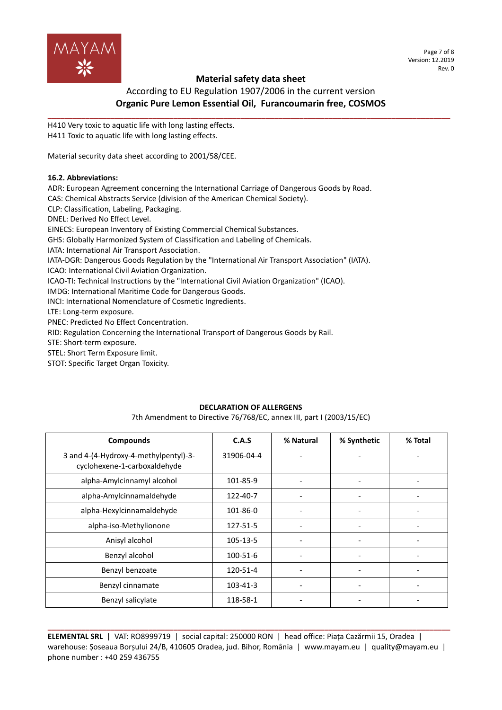

According to EU Regulation 1907/2006 in the current version **Organic Pure Lemon Essential Oil, Furancoumarin free, COSMOS**

**\_\_\_\_\_\_\_\_\_\_\_\_\_\_\_\_\_\_\_\_\_\_\_\_\_\_\_\_\_\_\_\_\_\_\_\_\_\_\_\_\_\_\_\_\_\_\_\_\_\_\_\_\_\_\_\_\_\_\_\_\_\_\_\_\_\_\_\_\_\_\_\_\_\_\_\_\_\_\_\_\_\_\_\_\_\_\_\_\_\_\_\_\_\_\_\_**

H410 Very toxic to aquatic life with long lasting effects. H411 Toxic to aquatic life with long lasting effects.

Material security data sheet according to 2001/58/CEE.

### **16.2. Abbreviations:**

ADR: European Agreement concerning the International Carriage of Dangerous Goods by Road.

CAS: Chemical Abstracts Service (division of the American Chemical Society).

CLP: Classification, Labeling, Packaging.

DNEL: Derived No Effect Level.

EINECS: European Inventory of Existing Commercial Chemical Substances.

GHS: Globally Harmonized System of Classification and Labeling of Chemicals.

IATA: International Air Transport Association.

IATA-DGR: Dangerous Goods Regulation by the "International Air Transport Association" (IATA).

ICAO: International Civil Aviation Organization.

ICAO-TI: Technical Instructions by the "International Civil Aviation Organization" (ICAO).

IMDG: International Maritime Code for Dangerous Goods.

INCI: International Nomenclature of Cosmetic Ingredients.

LTE: Long-term exposure.

PNEC: Predicted No Effect Concentration.

RID: Regulation Concerning the International Transport of Dangerous Goods by Rail.

STE: Short-term exposure.

STEL: Short Term Exposure limit.

STOT: Specific Target Organ Toxicity.

### **DECLARATION OF ALLERGENS**

7th Amendment to Directive 76/768/EC, annex III, part I (2003/15/EC)

| <b>Compounds</b>                                                      | C.A.S      | % Natural                | % Synthetic | % Total                  |
|-----------------------------------------------------------------------|------------|--------------------------|-------------|--------------------------|
| 3 and 4-(4-Hydroxy-4-methylpentyl)-3-<br>cyclohexene-1-carboxaldehyde | 31906-04-4 |                          |             |                          |
| alpha-Amylcinnamyl alcohol                                            | 101-85-9   |                          |             |                          |
| alpha-Amylcinnamaldehyde                                              | 122-40-7   | $\overline{\phantom{a}}$ |             |                          |
| alpha-Hexylcinnamaldehyde                                             | 101-86-0   |                          |             |                          |
| alpha-iso-Methylionone                                                | 127-51-5   |                          |             |                          |
| Anisyl alcohol                                                        | 105-13-5   | $\overline{\phantom{0}}$ |             |                          |
| Benzyl alcohol                                                        | 100-51-6   |                          |             |                          |
| Benzyl benzoate                                                       | 120-51-4   |                          |             |                          |
| Benzyl cinnamate                                                      | 103-41-3   |                          |             |                          |
| Benzyl salicylate                                                     | 118-58-1   |                          |             | $\overline{\phantom{a}}$ |

**\_\_\_\_\_\_\_\_\_\_\_\_\_\_\_\_\_\_\_\_\_\_\_\_\_\_\_\_\_\_\_\_\_\_\_\_\_\_\_\_\_\_\_\_\_\_\_\_\_\_\_\_\_\_\_\_\_\_\_\_\_\_\_\_\_\_\_\_\_\_\_\_\_\_\_\_\_\_\_\_\_\_\_\_\_\_\_\_\_\_\_\_\_\_\_\_ ELEMENTAL SRL** | VAT: RO8999719 | social capital: 250000 RON | head office: Piața Cazărmii 15, Oradea | warehouse: Șoseaua Borșului 24/B, 410605 Oradea, jud. Bihor, România | www.mayam.eu | quality@mayam.eu | phone number : +40 259 436755